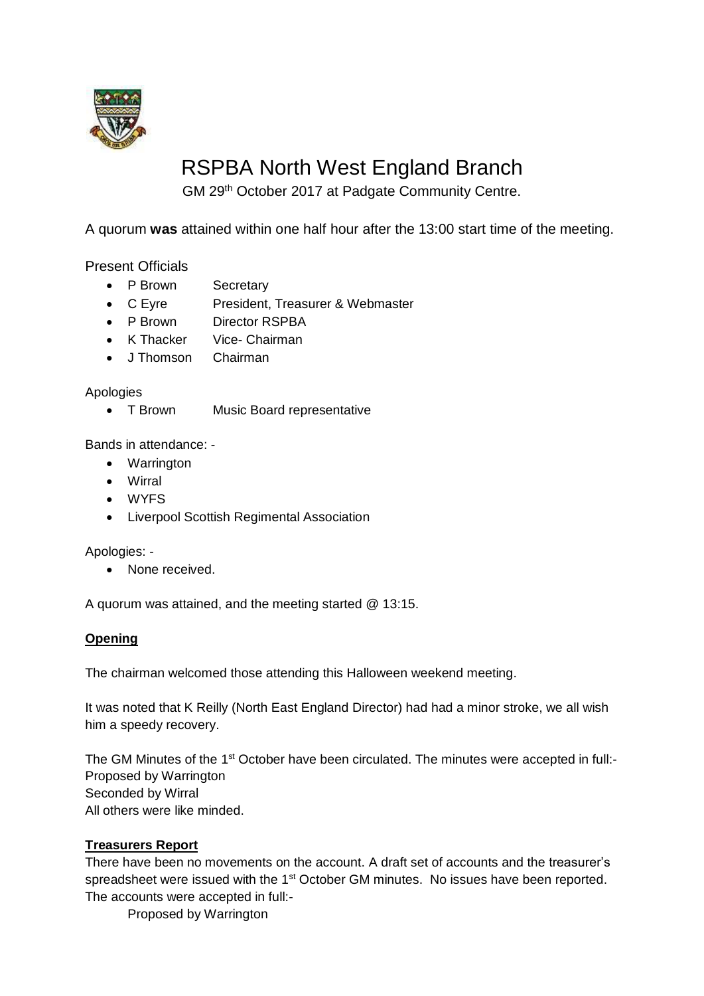

# RSPBA North West England Branch

GM 29th October 2017 at Padgate Community Centre.

A quorum **was** attained within one half hour after the 13:00 start time of the meeting.

Present Officials

- P Brown Secretary
- C Eyre President, Treasurer & Webmaster
- P Brown Director RSPBA
- K Thacker Vice- Chairman
- J Thomson Chairman

Apologies

• T Brown Music Board representative

Bands in attendance: -

- Warrington
- Wirral
- WYFS
- Liverpool Scottish Regimental Association

Apologies: -

• None received.

A quorum was attained, and the meeting started @ 13:15.

#### **Opening**

The chairman welcomed those attending this Halloween weekend meeting.

It was noted that K Reilly (North East England Director) had had a minor stroke, we all wish him a speedy recovery.

The GM Minutes of the 1<sup>st</sup> October have been circulated. The minutes were accepted in full:-Proposed by Warrington Seconded by Wirral All others were like minded.

## **Treasurers Report**

There have been no movements on the account. A draft set of accounts and the treasurer's spreadsheet were issued with the 1<sup>st</sup> October GM minutes. No issues have been reported. The accounts were accepted in full:-

Proposed by Warrington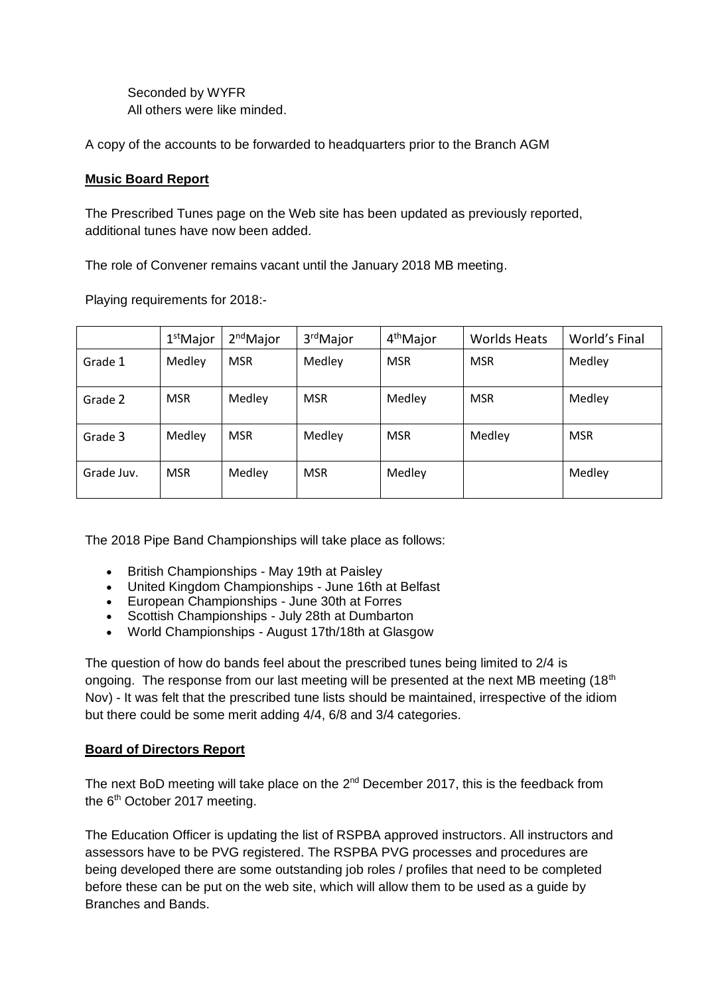Seconded by WYFR All others were like minded.

A copy of the accounts to be forwarded to headquarters prior to the Branch AGM

#### **Music Board Report**

The Prescribed Tunes page on the Web site has been updated as previously reported, additional tunes have now been added.

The role of Convener remains vacant until the January 2018 MB meeting.

Playing requirements for 2018:-

|            | 1 <sup>st</sup> Major | 2 <sup>nd</sup> Major | 3 <sup>rd</sup> Major | 4 <sup>th</sup> Major | <b>Worlds Heats</b> | World's Final |
|------------|-----------------------|-----------------------|-----------------------|-----------------------|---------------------|---------------|
| Grade 1    | Medley                | <b>MSR</b>            | Medley                | <b>MSR</b>            | <b>MSR</b>          | Medley        |
| Grade 2    | <b>MSR</b>            | Medley                | <b>MSR</b>            | Medley                | <b>MSR</b>          | Medley        |
| Grade 3    | Medley                | <b>MSR</b>            | Medley                | <b>MSR</b>            | Medley              | <b>MSR</b>    |
| Grade Juv. | <b>MSR</b>            | Medley                | <b>MSR</b>            | Medley                |                     | Medley        |

The 2018 Pipe Band Championships will take place as follows:

- British Championships May 19th at Paisley
- United Kingdom Championships June 16th at Belfast
- European Championships June 30th at Forres
- Scottish Championships July 28th at Dumbarton
- World Championships August 17th/18th at Glasgow

The question of how do bands feel about the prescribed tunes being limited to 2/4 is ongoing. The response from our last meeting will be presented at the next MB meeting  $(18<sup>th</sup>$ Nov) - It was felt that the prescribed tune lists should be maintained, irrespective of the idiom but there could be some merit adding 4/4, 6/8 and 3/4 categories.

#### **Board of Directors Report**

The next BoD meeting will take place on the  $2^{nd}$  December 2017, this is the feedback from the 6<sup>th</sup> October 2017 meeting.

The Education Officer is updating the list of RSPBA approved instructors. All instructors and assessors have to be PVG registered. The RSPBA PVG processes and procedures are being developed there are some outstanding job roles / profiles that need to be completed before these can be put on the web site, which will allow them to be used as a guide by Branches and Bands.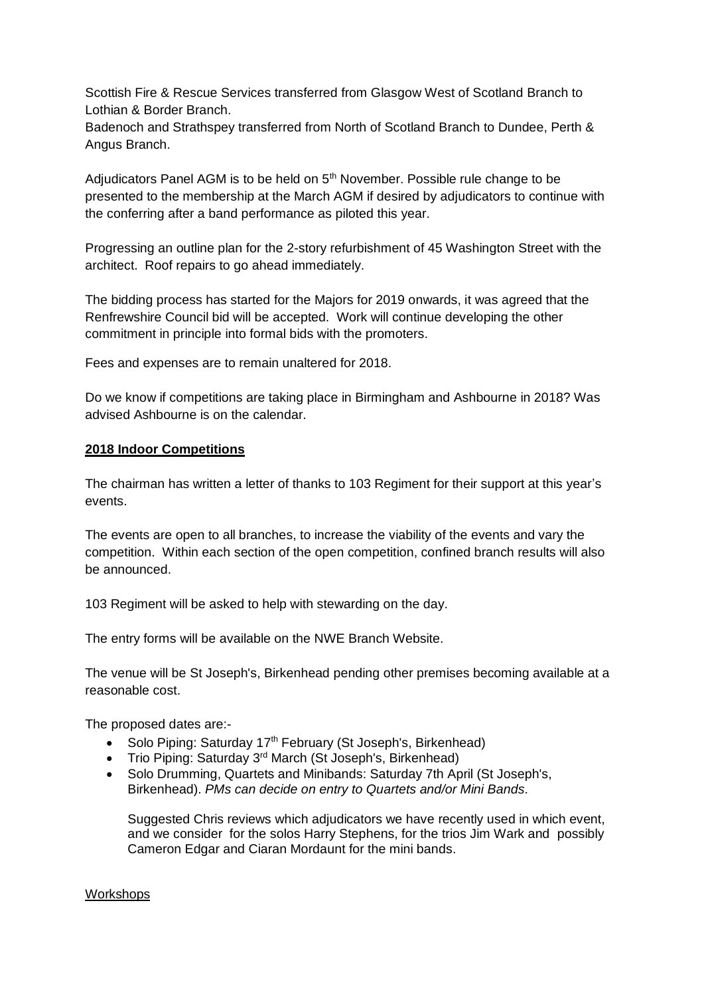Scottish Fire & Rescue Services transferred from Glasgow West of Scotland Branch to Lothian & Border Branch.

Badenoch and Strathspey transferred from North of Scotland Branch to Dundee, Perth & Angus Branch.

Adjudicators Panel AGM is to be held on 5th November. Possible rule change to be presented to the membership at the March AGM if desired by adjudicators to continue with the conferring after a band performance as piloted this year.

Progressing an outline plan for the 2-story refurbishment of 45 Washington Street with the architect. Roof repairs to go ahead immediately.

The bidding process has started for the Majors for 2019 onwards, it was agreed that the Renfrewshire Council bid will be accepted. Work will continue developing the other commitment in principle into formal bids with the promoters.

Fees and expenses are to remain unaltered for 2018.

Do we know if competitions are taking place in Birmingham and Ashbourne in 2018? Was advised Ashbourne is on the calendar.

### **2018 Indoor Competitions**

The chairman has written a letter of thanks to 103 Regiment for their support at this year's events.

The events are open to all branches, to increase the viability of the events and vary the competition. Within each section of the open competition, confined branch results will also be announced.

103 Regiment will be asked to help with stewarding on the day.

The entry forms will be available on the NWE Branch Website.

The venue will be St Joseph's, Birkenhead pending other premises becoming available at a reasonable cost.

The proposed dates are:-

- Solo Piping: Saturday  $17<sup>th</sup>$  February (St Joseph's, Birkenhead)
- Trio Piping: Saturday 3<sup>rd</sup> March (St Joseph's, Birkenhead)
- Solo Drumming, Quartets and Minibands: Saturday 7th April (St Joseph's, Birkenhead). *PMs can decide on entry to Quartets and/or Mini Bands.*

Suggested Chris reviews which adjudicators we have recently used in which event, and we consider for the solos Harry Stephens, for the trios Jim Wark and possibly Cameron Edgar and Ciaran Mordaunt for the mini bands.

#### Workshops